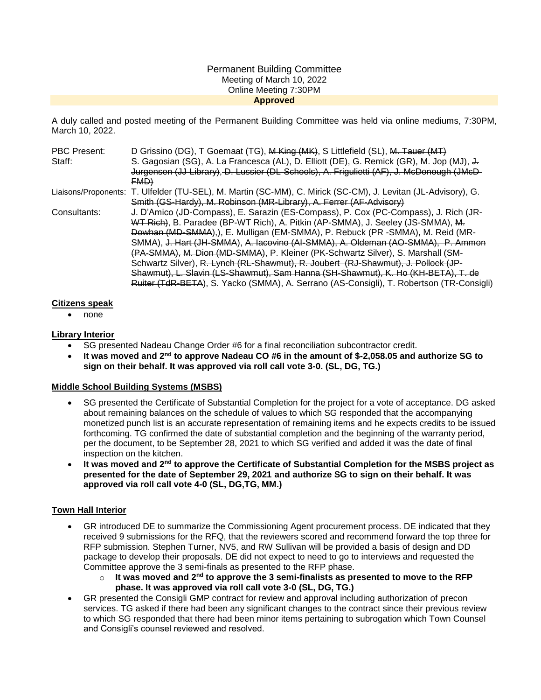### Permanent Building Committee Meeting of March 10, 2022 Online Meeting 7:30PM **Approved**

A duly called and posted meeting of the Permanent Building Committee was held via online mediums, 7:30PM, March 10, 2022.

| PBC Present: | D Grissino (DG), T Goemaat (TG), M King (MK), S Littlefield (SL), M. Tauer (MT)                               |
|--------------|---------------------------------------------------------------------------------------------------------------|
| Staff:       | S. Gagosian (SG), A. La Francesca (AL), D. Elliott (DE), G. Remick (GR), M. Jop (MJ), J.                      |
|              | Jurgensen (JJ-Library), D. Lussier (DL-Schools), A. Frigulietti (AF), J. McDonough (JMcD-                     |
|              | FMD                                                                                                           |
|              | Liaisons/Proponents: T. Ulfelder (TU-SEL), M. Martin (SC-MM), C. Mirick (SC-CM), J. Levitan (JL-Advisory), G. |
|              | Smith (GS-Hardy), M. Robinson (MR-Library), A. Ferrer (AF-Advisory)                                           |
| Consultants: | J. D'Amico (JD-Compass), E. Sarazin (ES-Compass), P. Cox (PC-Compass), J. Rich (JR-                           |
|              | WT Rich), B. Paradee (BP-WT Rich), A. Pitkin (AP-SMMA), J. Seeley (JS-SMMA), M.                               |
|              | Dowhan (MD-SMMA), E. Mulligan (EM-SMMA), P. Rebuck (PR -SMMA), M. Reid (MR-                                   |
|              | SMMA), J. Hart (JH-SMMA), A. Iacovino (AI-SMMA), A. Oldeman (AO-SMMA), P. Ammon                               |
|              | (PA-SMMA), M. Dion (MD-SMMA), P. Kleiner (PK-Schwartz Silver), S. Marshall (SM-                               |
|              | Schwartz Silver), R. Lynch (RL-Shawmut), R. Joubert (RJ-Shawmut), J. Pollock (JP-                             |
|              | Shawmut), L. Slavin (LS-Shawmut), Sam Hanna (SH-Shawmut), K. Ho (KH-BETA), T. de                              |
|              | Ruiter (TdR-BETA), S. Yacko (SMMA), A. Serrano (AS-Consigli), T. Robertson (TR-Consigli)                      |

### **Citizens speak**

none

### **Library Interior**

- SG presented Nadeau Change Order #6 for a final reconciliation subcontractor credit.
- **It was moved and 2nd to approve Nadeau CO #6 in the amount of \$-2,058.05 and authorize SG to sign on their behalf. It was approved via roll call vote 3-0. (SL, DG, TG.)**

### **Middle School Building Systems (MSBS)**

- SG presented the Certificate of Substantial Completion for the project for a vote of acceptance. DG asked about remaining balances on the schedule of values to which SG responded that the accompanying monetized punch list is an accurate representation of remaining items and he expects credits to be issued forthcoming. TG confirmed the date of substantial completion and the beginning of the warranty period, per the document, to be September 28, 2021 to which SG verified and added it was the date of final inspection on the kitchen.
- **It was moved and 2nd to approve the Certificate of Substantial Completion for the MSBS project as presented for the date of September 29, 2021 and authorize SG to sign on their behalf. It was approved via roll call vote 4-0 (SL, DG,TG, MM.)**

# **Town Hall Interior**

- GR introduced DE to summarize the Commissioning Agent procurement process. DE indicated that they received 9 submissions for the RFQ, that the reviewers scored and recommend forward the top three for RFP submission. Stephen Turner, NV5, and RW Sullivan will be provided a basis of design and DD package to develop their proposals. DE did not expect to need to go to interviews and requested the Committee approve the 3 semi-finals as presented to the RFP phase.
	- o **It was moved and 2nd to approve the 3 semi-finalists as presented to move to the RFP phase. It was approved via roll call vote 3-0 (SL, DG, TG.)**
- GR presented the Consigli GMP contract for review and approval including authorization of precon services. TG asked if there had been any significant changes to the contract since their previous review to which SG responded that there had been minor items pertaining to subrogation which Town Counsel and Consigli's counsel reviewed and resolved.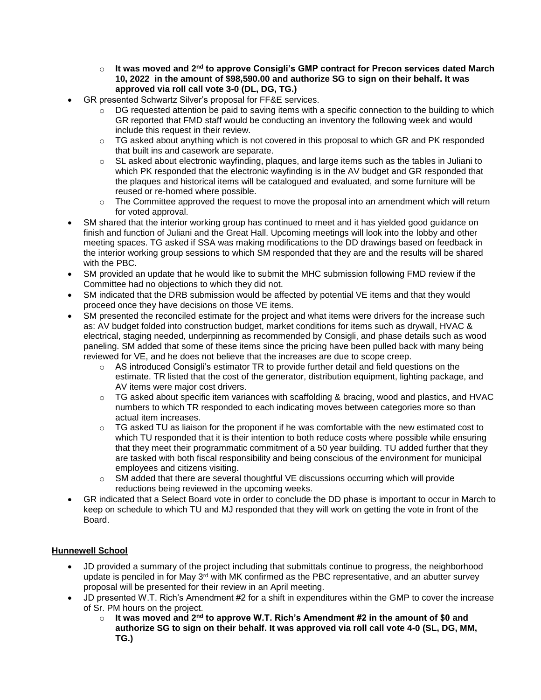- o **It was moved and 2nd to approve Consigli's GMP contract for Precon services dated March 10, 2022 in the amount of \$98,590.00 and authorize SG to sign on their behalf. It was approved via roll call vote 3-0 (DL, DG, TG.)**
- GR presented Schwartz Silver's proposal for FF&E services.
	- $\circ$  DG requested attention be paid to saving items with a specific connection to the building to which GR reported that FMD staff would be conducting an inventory the following week and would include this request in their review.
	- $\circ$  TG asked about anything which is not covered in this proposal to which GR and PK responded that built ins and casework are separate.
	- $\circ$  SL asked about electronic wayfinding, plaques, and large items such as the tables in Juliani to which PK responded that the electronic wayfinding is in the AV budget and GR responded that the plaques and historical items will be catalogued and evaluated, and some furniture will be reused or re-homed where possible.
	- $\circ$  The Committee approved the request to move the proposal into an amendment which will return for voted approval.
- SM shared that the interior working group has continued to meet and it has yielded good guidance on finish and function of Juliani and the Great Hall. Upcoming meetings will look into the lobby and other meeting spaces. TG asked if SSA was making modifications to the DD drawings based on feedback in the interior working group sessions to which SM responded that they are and the results will be shared with the PBC.
- SM provided an update that he would like to submit the MHC submission following FMD review if the Committee had no objections to which they did not.
- SM indicated that the DRB submission would be affected by potential VE items and that they would proceed once they have decisions on those VE items.
- SM presented the reconciled estimate for the project and what items were drivers for the increase such as: AV budget folded into construction budget, market conditions for items such as drywall, HVAC & electrical, staging needed, underpinning as recommended by Consigli, and phase details such as wood paneling. SM added that some of these items since the pricing have been pulled back with many being reviewed for VE, and he does not believe that the increases are due to scope creep.
	- $\circ$  AS introduced Consigli's estimator TR to provide further detail and field questions on the estimate. TR listed that the cost of the generator, distribution equipment, lighting package, and AV items were major cost drivers.
	- $\circ$  TG asked about specific item variances with scaffolding & bracing, wood and plastics, and HVAC numbers to which TR responded to each indicating moves between categories more so than actual item increases.
	- $\circ$  TG asked TU as liaison for the proponent if he was comfortable with the new estimated cost to which TU responded that it is their intention to both reduce costs where possible while ensuring that they meet their programmatic commitment of a 50 year building. TU added further that they are tasked with both fiscal responsibility and being conscious of the environment for municipal employees and citizens visiting.
	- o SM added that there are several thoughtful VE discussions occurring which will provide reductions being reviewed in the upcoming weeks.
- GR indicated that a Select Board vote in order to conclude the DD phase is important to occur in March to keep on schedule to which TU and MJ responded that they will work on getting the vote in front of the Board.

# **Hunnewell School**

- JD provided a summary of the project including that submittals continue to progress, the neighborhood update is penciled in for May 3<sup>rd</sup> with MK confirmed as the PBC representative, and an abutter survey proposal will be presented for their review in an April meeting.
- JD presented W.T. Rich's Amendment #2 for a shift in expenditures within the GMP to cover the increase of Sr. PM hours on the project.
	- o **It was moved and 2nd to approve W.T. Rich's Amendment #2 in the amount of \$0 and authorize SG to sign on their behalf. It was approved via roll call vote 4-0 (SL, DG, MM, TG.)**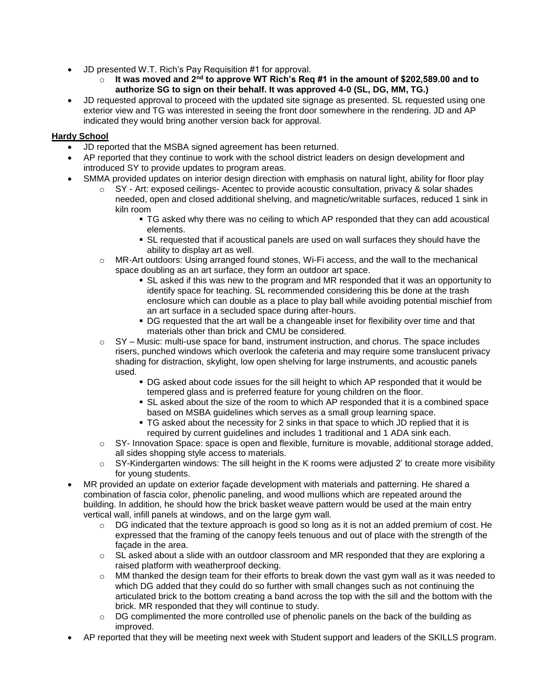- JD presented W.T. Rich's Pay Requisition #1 for approval.
	- o **It was moved and 2nd to approve WT Rich's Req #1 in the amount of \$202,589.00 and to authorize SG to sign on their behalf. It was approved 4-0 (SL, DG, MM, TG.)**
- JD requested approval to proceed with the updated site signage as presented. SL requested using one exterior view and TG was interested in seeing the front door somewhere in the rendering. JD and AP indicated they would bring another version back for approval.

# **Hardy School**

- JD reported that the MSBA signed agreement has been returned.
- AP reported that they continue to work with the school district leaders on design development and introduced SY to provide updates to program areas.
- SMMA provided updates on interior design direction with emphasis on natural light, ability for floor play
	- o SY Art: exposed ceilings- Acentec to provide acoustic consultation, privacy & solar shades needed, open and closed additional shelving, and magnetic/writable surfaces, reduced 1 sink in kiln room
		- TG asked why there was no ceiling to which AP responded that they can add acoustical elements.
		- SL requested that if acoustical panels are used on wall surfaces they should have the ability to display art as well.
	- o MR-Art outdoors: Using arranged found stones, Wi-Fi access, and the wall to the mechanical space doubling as an art surface, they form an outdoor art space.
		- SL asked if this was new to the program and MR responded that it was an opportunity to identify space for teaching. SL recommended considering this be done at the trash enclosure which can double as a place to play ball while avoiding potential mischief from an art surface in a secluded space during after-hours.
		- DG requested that the art wall be a changeable inset for flexibility over time and that materials other than brick and CMU be considered.
	- $\circ$  SY Music: multi-use space for band, instrument instruction, and chorus. The space includes risers, punched windows which overlook the cafeteria and may require some translucent privacy shading for distraction, skylight, low open shelving for large instruments, and acoustic panels used.
		- DG asked about code issues for the sill height to which AP responded that it would be tempered glass and is preferred feature for young children on the floor.
		- SL asked about the size of the room to which AP responded that it is a combined space based on MSBA guidelines which serves as a small group learning space.
		- TG asked about the necessity for 2 sinks in that space to which JD replied that it is required by current guidelines and includes 1 traditional and 1 ADA sink each.
	- $\circ$  SY- Innovation Space: space is open and flexible, furniture is movable, additional storage added, all sides shopping style access to materials.
	- $\circ$  SY-Kindergarten windows: The sill height in the K rooms were adjusted 2' to create more visibility for young students.
- MR provided an update on exterior façade development with materials and patterning. He shared a combination of fascia color, phenolic paneling, and wood mullions which are repeated around the building. In addition, he should how the brick basket weave pattern would be used at the main entry vertical wall, infill panels at windows, and on the large gym wall.
	- $\circ$  DG indicated that the texture approach is good so long as it is not an added premium of cost. He expressed that the framing of the canopy feels tenuous and out of place with the strength of the façade in the area.
	- $\circ$  SL asked about a slide with an outdoor classroom and MR responded that they are exploring a raised platform with weatherproof decking.
	- $\circ$  MM thanked the design team for their efforts to break down the vast gym wall as it was needed to which DG added that they could do so further with small changes such as not continuing the articulated brick to the bottom creating a band across the top with the sill and the bottom with the brick. MR responded that they will continue to study.
	- $\circ$  DG complimented the more controlled use of phenolic panels on the back of the building as improved.
- AP reported that they will be meeting next week with Student support and leaders of the SKILLS program.